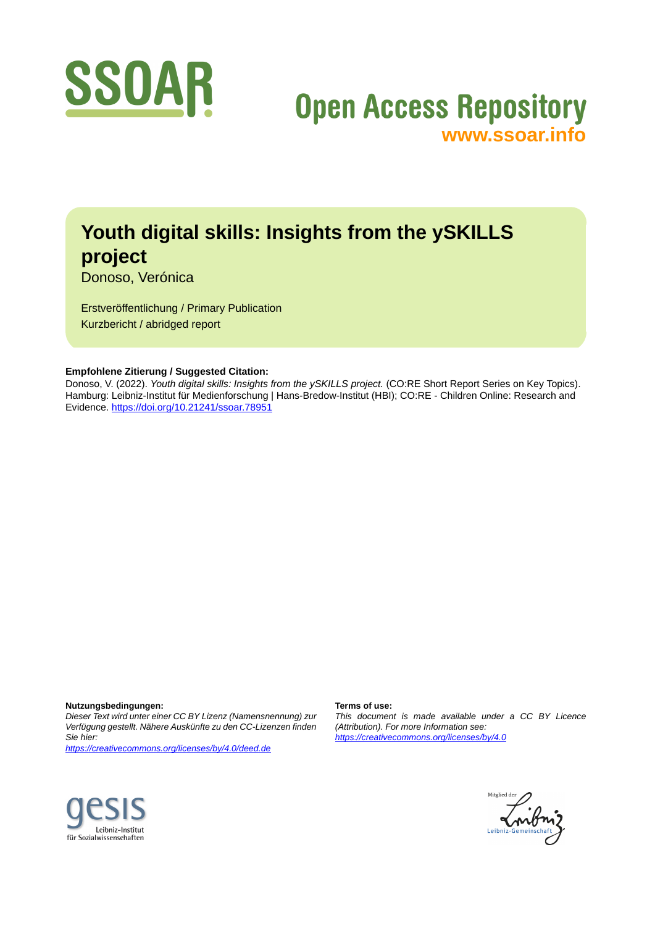

# **Open Access Repository [www.ssoar.info](http://www.ssoar.info)**

# **Youth digital skills: Insights from the ySKILLS project**

Donoso, Verónica

Erstveröffentlichung / Primary Publication Kurzbericht / abridged report

#### **Empfohlene Zitierung / Suggested Citation:**

Donoso, V. (2022). *Youth digital skills: Insights from the ySKILLS project.* (CO:RE Short Report Series on Key Topics). Hamburg: Leibniz-Institut für Medienforschung | Hans-Bredow-Institut (HBI); CO:RE - Children Online: Research and Evidence. <https://doi.org/10.21241/ssoar.78951>

**Nutzungsbedingungen:**

*Dieser Text wird unter einer CC BY Lizenz (Namensnennung) zur Verfügung gestellt. Nähere Auskünfte zu den CC-Lizenzen finden Sie hier:*

*<https://creativecommons.org/licenses/by/4.0/deed.de>*

#### **Terms of use:**

*This document is made available under a CC BY Licence (Attribution). For more Information see: <https://creativecommons.org/licenses/by/4.0>*



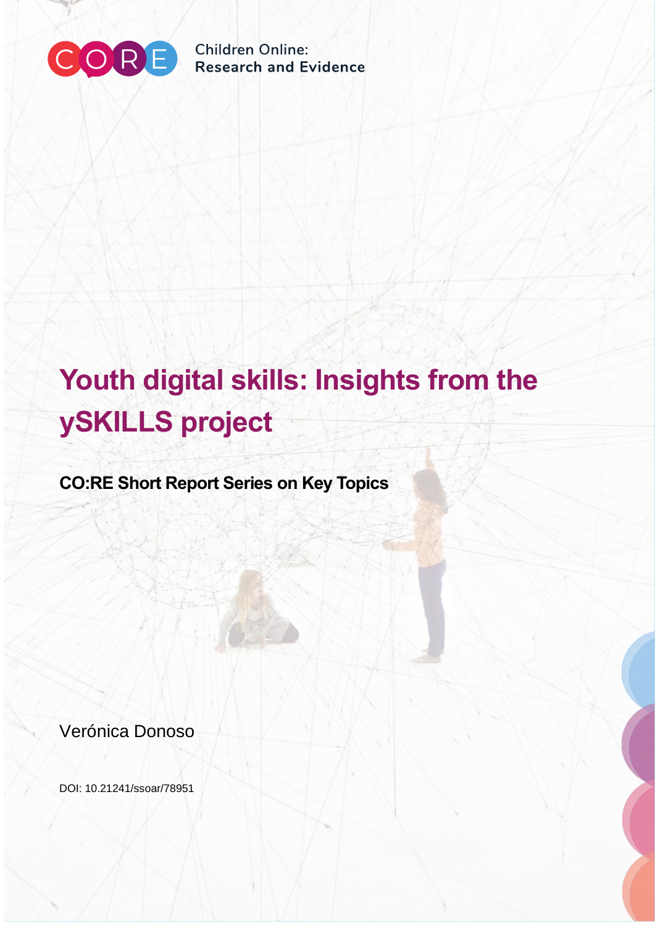

**Children Online: Research and Evidence** 

# **Youth digital skills: Insights from the ySKILLS project**

**CO:RE Short Report Series on Key Topics**

Verónica Donoso

DOI: 10.21241/ssoar/78951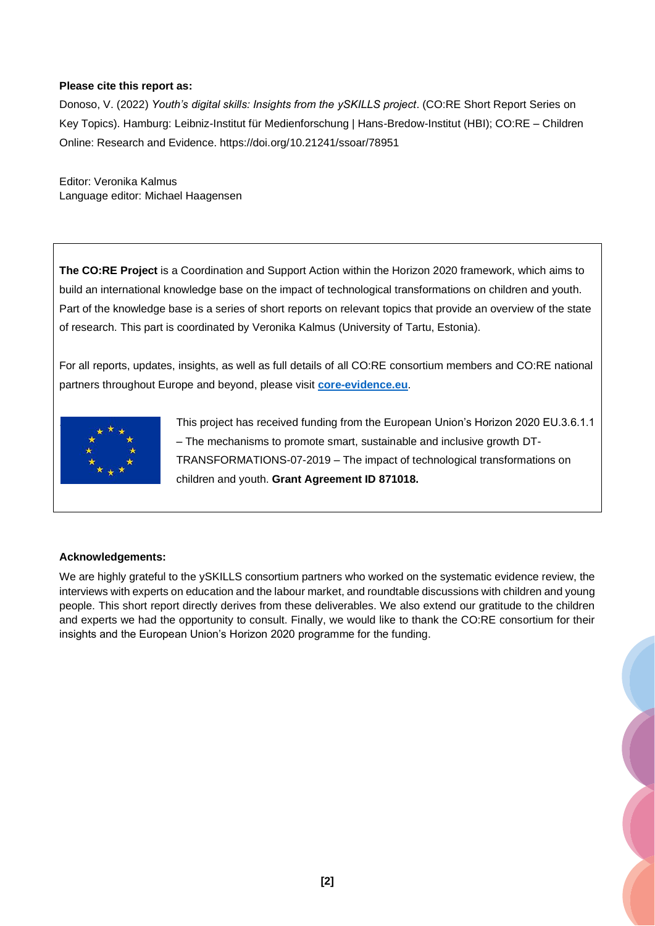#### **Please cite this report as:**

Donoso, V. (2022) *Youth's digital skills: Insights from the ySKILLS project*. (CO:RE Short Report Series on Key Topics). Hamburg: Leibniz-Institut für Medienforschung | Hans-Bredow-Institut (HBI); CO:RE – Children Online: Research and Evidence. https://doi.org/10.21241/ssoar/78951

Editor: Veronika Kalmus Language editor: Michael Haagensen

**The CO:RE Project** is a Coordination and Support Action within the Horizon 2020 framework, which aims to build an international knowledge base on the impact of technological transformations on children and youth. Part of the knowledge base is a series of short reports on relevant topics that provide an overview of the state of research. This part is coordinated by Veronika Kalmus (University of Tartu, Estonia).

For all reports, updates, insights, as well as full details of all CO:RE consortium members and CO:RE national partners throughout Europe and beyond, please visit **[core-evidence.eu](https://core-evidence.eu/)**.



. This project has received funding from the European Union's Horizon 2020 EU.3.6.1.1 – The mechanisms to promote smart, sustainable and inclusive growth DT-TRANSFORMATIONS-07-2019 – The impact of technological transformations on children and youth. **Grant Agreement ID 871018.**

#### **Acknowledgements:**

We are highly grateful to the ySKILLS consortium partners who worked on the systematic evidence review, the interviews with experts on education and the labour market, and roundtable discussions with children and young people. This short report directly derives from these deliverables. We also extend our gratitude to the children and experts we had the opportunity to consult. Finally, we would like to thank the CO:RE consortium for their insights and the European Union's Horizon 2020 programme for the funding.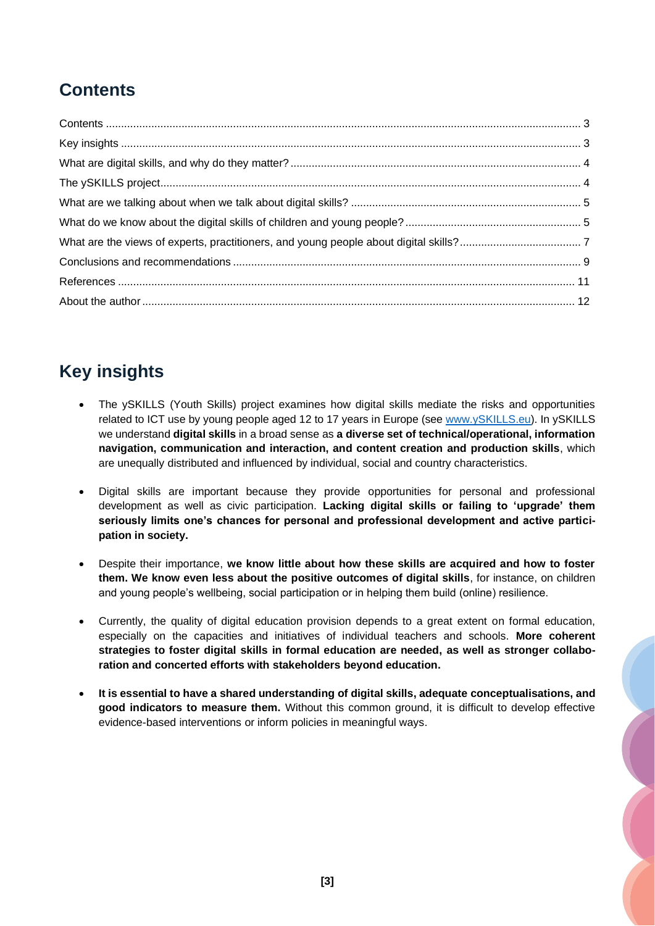## <span id="page-3-0"></span>**Contents**

# <span id="page-3-1"></span>**Key insights**

- The ySKILLS (Youth Skills) project examines how digital skills mediate the risks and opportunities related to ICT use by young people aged 12 to 17 years in Europe (see [www.ySKILLS.eu\)](http://www.yskills.eu/). In ySKILLS we understand **digital skills** in a broad sense as **a diverse set of technical/operational, information navigation, communication and interaction, and content creation and production skills**, which are unequally distributed and influenced by individual, social and country characteristics.
- Digital skills are important because they provide opportunities for personal and professional development as well as civic participation. **Lacking digital skills or failing to 'upgrade' them seriously limits one's chances for personal and professional development and active participation in society.**
- Despite their importance, **we know little about how these skills are acquired and how to foster them. We know even less about the positive outcomes of digital skills**, for instance, on children and young people's wellbeing, social participation or in helping them build (online) resilience.
- Currently, the quality of digital education provision depends to a great extent on formal education, especially on the capacities and initiatives of individual teachers and schools. **More coherent strategies to foster digital skills in formal education are needed, as well as stronger collaboration and concerted efforts with stakeholders beyond education.**
- **It is essential to have a shared understanding of digital skills, adequate conceptualisations, and good indicators to measure them.** Without this common ground, it is difficult to develop effective evidence-based interventions or inform policies in meaningful ways.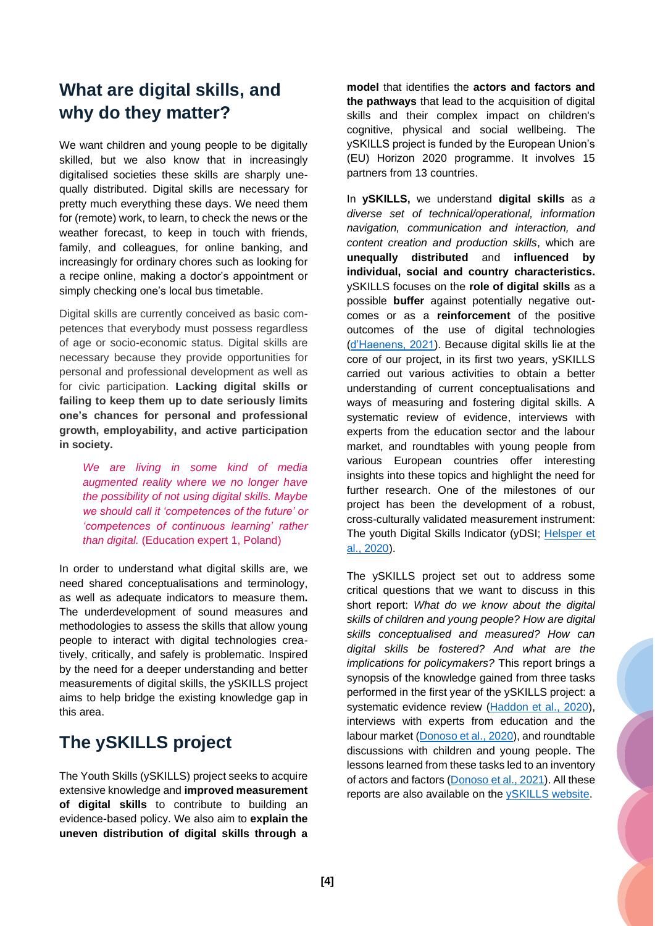## <span id="page-4-0"></span>**What are digital skills, and why do they matter?**

We want children and young people to be digitally skilled, but we also know that in increasingly digitalised societies these skills are sharply unequally distributed. Digital skills are necessary for pretty much everything these days. We need them for (remote) work, to learn, to check the news or the weather forecast, to keep in touch with friends, family, and colleagues, for online banking, and increasingly for ordinary chores such as looking for a recipe online, making a doctor's appointment or simply checking one's local bus timetable.

Digital skills are currently conceived as basic competences that everybody must possess regardless of age or socio-economic status. Digital skills are necessary because they provide opportunities for personal and professional development as well as for civic participation. **Lacking digital skills or failing to keep them up to date seriously limits one's chances for personal and professional growth, employability, and active participation in society.**

*We are living in some kind of media augmented reality where we no longer have the possibility of not using digital skills. Maybe we should call it 'competences of the future' or 'competences of continuous learning' rather than digital.* (Education expert 1, Poland)

In order to understand what digital skills are, we need shared conceptualisations and terminology, as well as adequate indicators to measure them**.**  The underdevelopment of sound measures and methodologies to assess the skills that allow young people to interact with digital technologies creatively, critically, and safely is problematic. Inspired by the need for a deeper understanding and better measurements of digital skills, the ySKILLS project aims to help bridge the existing knowledge gap in this area.

## <span id="page-4-1"></span>**The ySKILLS project**

The Youth Skills (ySKILLS) project seeks to acquire extensive knowledge and **improved measurement of digital skills** to contribute to building an evidence-based policy. We also aim to **explain the uneven distribution of digital skills through a** 

**model** that identifies the **actors and factors and the pathways** that lead to the acquisition of digital skills and their complex impact on children's cognitive, physical and social wellbeing. The ySKILLS project is funded by the European Union's (EU) Horizon 2020 programme. It involves 15 partners from 13 countries.

In **ySKILLS,** we understand **digital skills** as *a diverse set of technical/operational, information navigation, communication and interaction, and content creation and production skills*, which are **unequally distributed** and **influenced by individual, social and country characteristics.**  ySKILLS focuses on the **role of digital skills** as a possible **buffer** against potentially negative outcomes or as a **reinforcement** of the positive outcomes of the use of digital technologies [\(d'Haenens, 2021\)](https://zenodo.org/record/5821079#.YmopeO3P02w). Because digital skills lie at the core of our project, in its first two years, ySKILLS carried out various activities to obtain a better understanding of current conceptualisations and ways of measuring and fostering digital skills. A systematic review of evidence, interviews with experts from the education sector and the labour market, and roundtables with young people from various European countries offer interesting insights into these topics and highlight the need for further research. One of the milestones of our project has been the development of a robust, cross-culturally validated measurement instrument: The youth Digital Skills Indicator (yDSI; Helsper et [al., 2020\)](https://zenodo.org/record/4608010#.Ymzd_-3P02w).

The ySKILLS project set out to address some critical questions that we want to discuss in this short report: *What do we know about the digital skills of children and young people? How are digital skills conceptualised and measured? How can digital skills be fostered? And what are the implications for policymakers?* This report brings a synopsis of the knowledge gained from three tasks performed in the first year of the ySKILLS project: a systematic evidence review [\(Haddon et al., 2020\)](https://zenodo.org/record/4274654#.Ymka7O3P02w), interviews with experts from education and the labour market [\(Donoso et al., 2020\)](https://zenodo.org/record/5226910#.YmkbTO3P02w), and roundtable discussions with children and young people. The lessons learned from these tasks led to an inventory of actors and factors [\(Donoso et al.,](https://zenodo.org/record/5557144#.YmkbjO3P02w) 2021). All these reports are also available on the [ySKILLS website.](https://yskills.eu/publications/)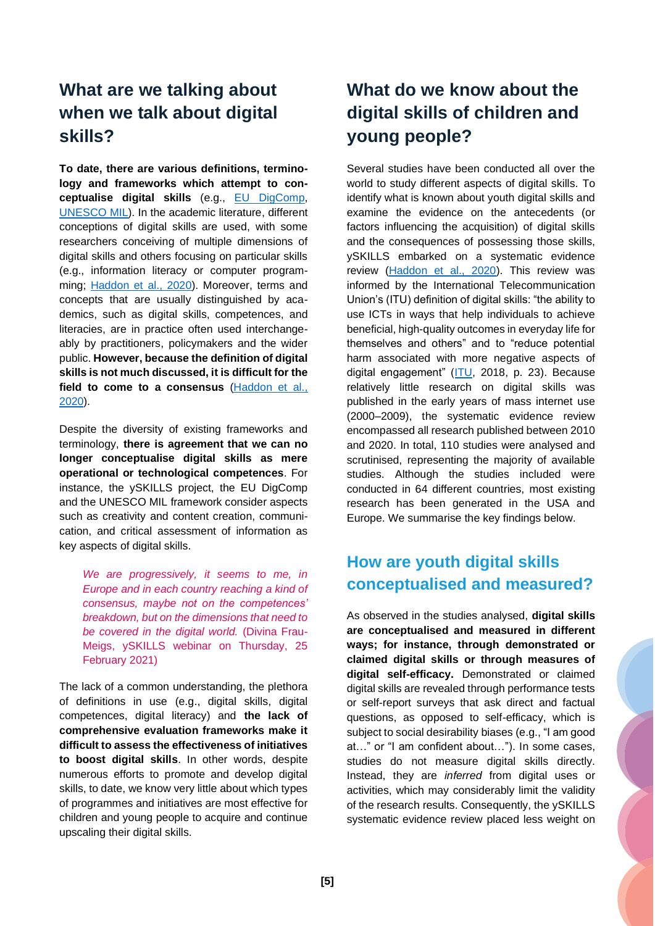## <span id="page-5-0"></span>**What are we talking about when we talk about digital skills?**

**To date, there are various definitions, terminology and frameworks which attempt to conceptualise digital skills** (e.g., [EU DigComp,](https://ec.europa.eu/jrc/en/digcomp) [UNESCO MIL\)](https://en.unesco.org/themes/media-and-information-literacy). In the academic literature, different conceptions of digital skills are used, with some researchers conceiving of multiple dimensions of digital skills and others focusing on particular skills (e.g., information literacy or computer programming; [Haddon et al., 2020\)](https://zenodo.org/record/4274654#.Ymop2-3P02w). Moreover, terms and concepts that are usually distinguished by academics, such as digital skills, competences, and literacies, are in practice often used interchangeably by practitioners, policymakers and the wider public. **However, because the definition of digital skills is not much discussed, it is difficult for the field to come to a consensus** [\(Haddon et al.,](https://zenodo.org/record/4274654#.Ymop2-3P02w)  [2020\)](https://zenodo.org/record/4274654#.Ymop2-3P02w).

Despite the diversity of existing frameworks and terminology, **there is agreement that we can no longer conceptualise digital skills as mere operational or technological competences**. For instance, the ySKILLS project, the EU DigComp and the UNESCO MIL framework consider aspects such as creativity and content creation, communication, and critical assessment of information as key aspects of digital skills.

*We are progressively, it seems to me, in Europe and in each country reaching a kind of consensus, maybe not on the competences' breakdown, but on the dimensions that need to be covered in the digital world.* (Divina Frau-Meigs, ySKILLS webinar on Thursday, 25 February 2021)

The lack of a common understanding, the plethora of definitions in use (e.g., digital skills, digital competences, digital literacy) and **the lack of comprehensive evaluation frameworks make it difficult to assess the effectiveness of initiatives to boost digital skills**. In other words, despite numerous efforts to promote and develop digital skills, to date, we know very little about which types of programmes and initiatives are most effective for children and young people to acquire and continue upscaling their digital skills.

# <span id="page-5-1"></span>**What do we know about the digital skills of children and young people?**

Several studies have been conducted all over the world to study different aspects of digital skills. To identify what is known about youth digital skills and examine the evidence on the antecedents (or factors influencing the acquisition) of digital skills and the consequences of possessing those skills, ySKILLS embarked on a systematic evidence review [\(Haddon et al., 2020\)](https://zenodo.org/record/4274654#.Ymka7O3P02w). This review was informed by the International Telecommunication Union's (ITU) definition of digital skills: "the ability to use ICTs in ways that help individuals to achieve beneficial, high-quality outcomes in everyday life for themselves and others" and to "reduce potential harm associated with more negative aspects of digital engagement" [\(ITU,](http://www.itu.int/en/ITU-D/Statistics/Documents/publications/misr2018/MISR-2018-Vol-1-E.pdf) 2018, p. 23). Because relatively little research on digital skills was published in the early years of mass internet use (2000–2009), the systematic evidence review encompassed all research published between 2010 and 2020. In total, 110 studies were analysed and scrutinised, representing the majority of available studies. Although the studies included were conducted in 64 different countries, most existing research has been generated in the USA and Europe. We summarise the key findings below.

#### **How are youth digital skills conceptualised and measured?**

As observed in the studies analysed, **digital skills are conceptualised and measured in different ways; for instance, through demonstrated or claimed digital skills or through measures of digital self-efficacy.** Demonstrated or claimed digital skills are revealed through performance tests or self-report surveys that ask direct and factual questions, as opposed to self-efficacy, which is subject to social desirability biases (e.g., "I am good at…" or "I am confident about…"). In some cases, studies do not measure digital skills directly. Instead, they are *inferred* from digital uses or activities, which may considerably limit the validity of the research results. Consequently, the ySKILLS systematic evidence review placed less weight on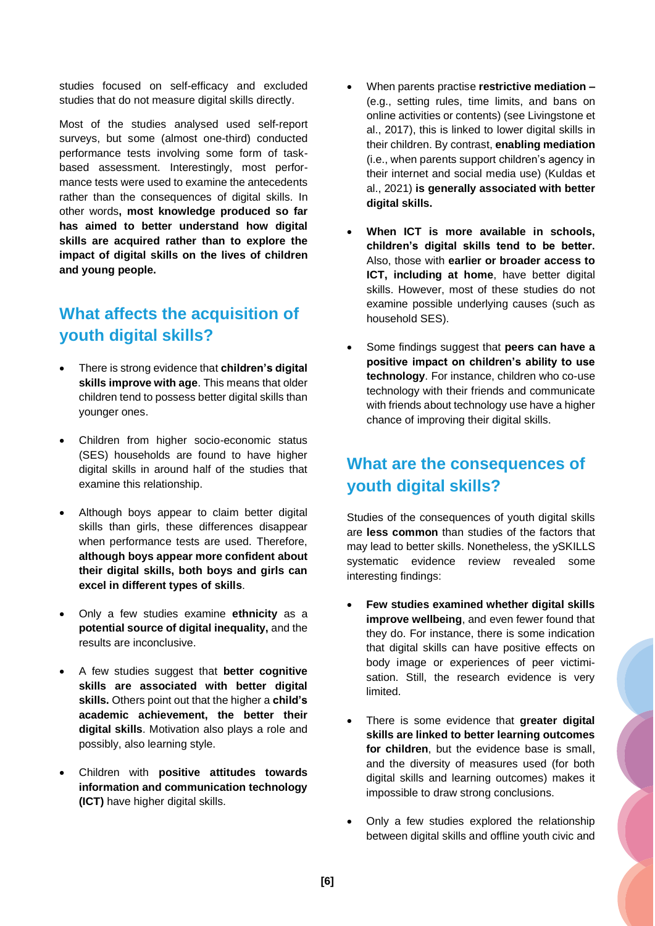studies focused on self-efficacy and excluded studies that do not measure digital skills directly.

Most of the studies analysed used self-report surveys, but some (almost one-third) conducted performance tests involving some form of taskbased assessment. Interestingly, most performance tests were used to examine the antecedents rather than the consequences of digital skills. In other words**, most knowledge produced so far has aimed to better understand how digital skills are acquired rather than to explore the impact of digital skills on the lives of children and young people.**

#### **What affects the acquisition of youth digital skills?**

- There is strong evidence that **children's digital skills improve with age**. This means that older children tend to possess better digital skills than younger ones.
- Children from higher socio-economic status (SES) households are found to have higher digital skills in around half of the studies that examine this relationship.
- Although boys appear to claim better digital skills than girls, these differences disappear when performance tests are used. Therefore, **although boys appear more confident about their digital skills, both boys and girls can excel in different types of skills**.
- Only a few studies examine **ethnicity** as a **potential source of digital inequality,** and the results are inconclusive.
- A few studies suggest that **better cognitive skills are associated with better digital skills.** Others point out that the higher a **child's academic achievement, the better their digital skills**. Motivation also plays a role and possibly, also learning style.
- Children with **positive attitudes towards information and communication technology (ICT)** have higher digital skills.
- When parents practise **restrictive mediation –** (e.g., setting rules, time limits, and bans on online activities or contents) (see [Livingstone et](https://www.frontiersin.org/articles/10.3389/fpsyg.2021.698176/full#B33)  [al., 2017\)](https://www.frontiersin.org/articles/10.3389/fpsyg.2021.698176/full#B33), this is linked to lower digital skills in their children. By contrast, **enabling mediation**  (i.e., when parents support children's agency in their internet and social media use) [\(Kuldas et](https://www.frontiersin.org/articles/10.3389/fpsyg.2021.698176/full#B29)  [al., 2021\)](https://www.frontiersin.org/articles/10.3389/fpsyg.2021.698176/full#B29) **is generally associated with better digital skills.**
- **When ICT is more available in schools, children's digital skills tend to be better.** Also, those with **earlier or broader access to ICT, including at home**, have better digital skills. However, most of these studies do not examine possible underlying causes (such as household SES).
- Some findings suggest that **peers can have a positive impact on children's ability to use technology**. For instance, children who co-use technology with their friends and communicate with friends about technology use have a higher chance of improving their digital skills.

#### **What are the consequences of youth digital skills?**

Studies of the consequences of youth digital skills are **less common** than studies of the factors that may lead to better skills. Nonetheless, the ySKILLS systematic evidence review revealed some interesting findings:

- **Few studies examined whether digital skills improve wellbeing**, and even fewer found that they do. For instance, there is some indication that digital skills can have positive effects on body image or experiences of peer victimisation. Still, the research evidence is very limited.
- There is some evidence that **greater digital skills are linked to better learning outcomes for children**, but the evidence base is small, and the diversity of measures used (for both digital skills and learning outcomes) makes it impossible to draw strong conclusions.
- Only a few studies explored the relationship between digital skills and offline youth civic and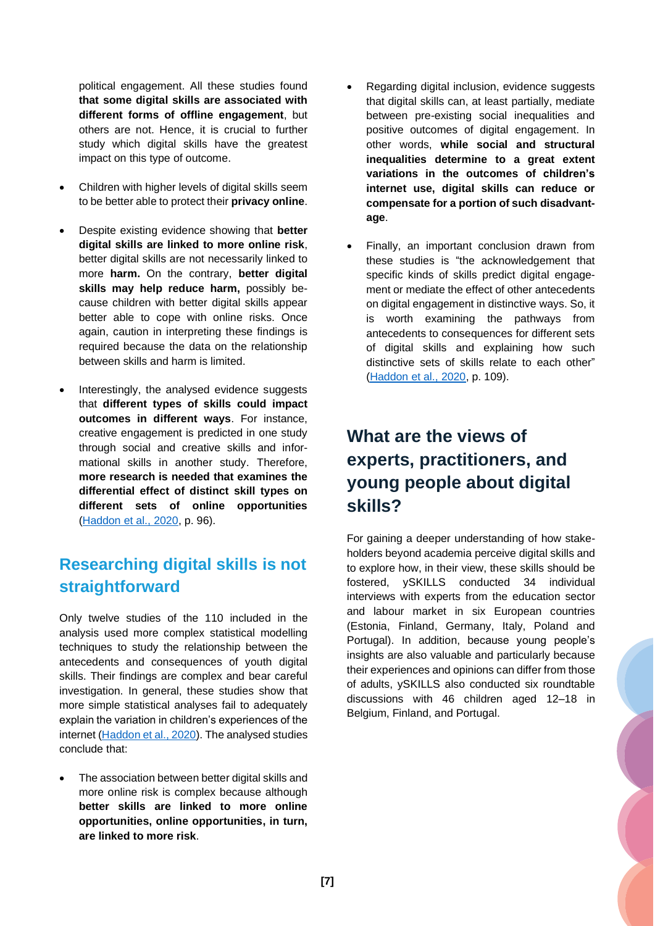political engagement. All these studies found **that some digital skills are associated with different forms of offline engagement**, but others are not. Hence, it is crucial to further study which digital skills have the greatest impact on this type of outcome.

- Children with higher levels of digital skills seem to be better able to protect their **privacy online**.
- Despite existing evidence showing that **better digital skills are linked to more online risk**, better digital skills are not necessarily linked to more **harm.** On the contrary, **better digital skills may help reduce harm,** possibly because children with better digital skills appear better able to cope with online risks. Once again, caution in interpreting these findings is required because the data on the relationship between skills and harm is limited.
- Interestingly, the analysed evidence suggests that **different types of skills could impact outcomes in different ways**. For instance, creative engagement is predicted in one study through social and creative skills and informational skills in another study. Therefore, **more research is needed that examines the differential effect of distinct skill types on different sets of online opportunities** [\(Haddon et al., 2020,](https://zenodo.org/record/4274654#.Ymop2-3P02w) p. 96).

#### **Researching digital skills is not straightforward**

Only twelve studies of the 110 included in the analysis used more complex statistical modelling techniques to study the relationship between the antecedents and consequences of youth digital skills. Their findings are complex and bear careful investigation. In general, these studies show that more simple statistical analyses fail to adequately explain the variation in children's experiences of the internet [\(Haddon et al., 2020\)](https://zenodo.org/record/4274654#.Ymop2-3P02w). The analysed studies conclude that:

The association between better digital skills and more online risk is complex because although **better skills are linked to more online opportunities, online opportunities, in turn, are linked to more risk**.

- Regarding digital inclusion, evidence suggests that digital skills can, at least partially, mediate between pre-existing social inequalities and positive outcomes of digital engagement. In other words, **while social and structural inequalities determine to a great extent variations in the outcomes of children's internet use, digital skills can reduce or compensate for a portion of such disadvantage**.
- Finally, an important conclusion drawn from these studies is "the acknowledgement that specific kinds of skills predict digital engagement or mediate the effect of other antecedents on digital engagement in distinctive ways. So, it is worth examining the pathways from antecedents to consequences for different sets of digital skills and explaining how such distinctive sets of skills relate to each other" [\(Haddon et al., 2020,](https://zenodo.org/record/4274654#.Ymop2-3P02w) p. 109).

# <span id="page-7-0"></span>**What are the views of experts, practitioners, and young people about digital skills?**

For gaining a deeper understanding of how stakeholders beyond academia perceive digital skills and to explore how, in their view, these skills should be fostered, ySKILLS conducted 34 individual interviews with experts from the education sector and labour market in six European countries (Estonia, Finland, Germany, Italy, Poland and Portugal). In addition, because young people's insights are also valuable and particularly because their experiences and opinions can differ from those of adults, ySKILLS also conducted six roundtable discussions with 46 children aged 12–18 in Belgium, Finland, and Portugal.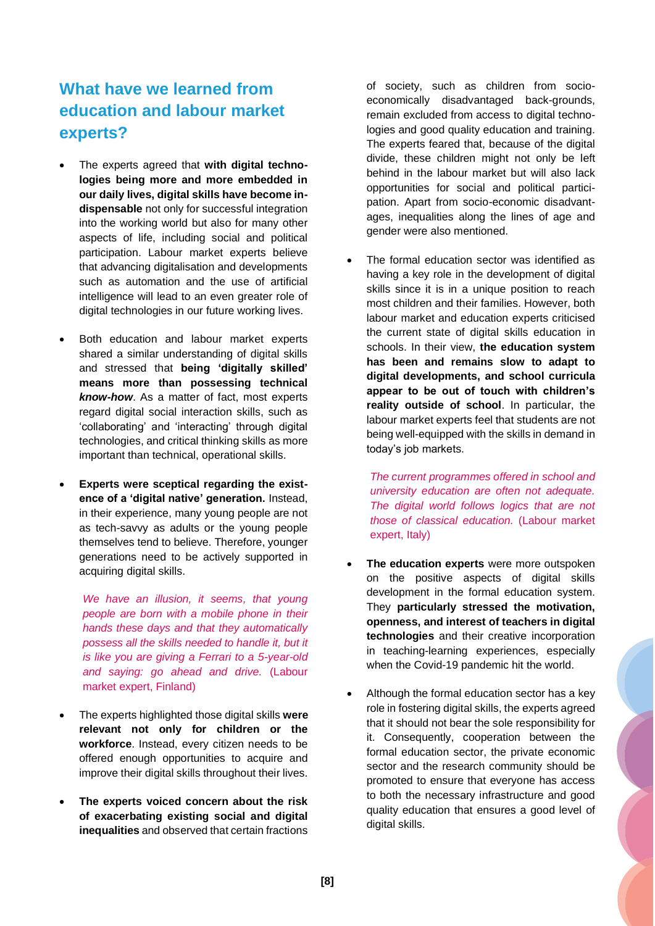#### **What have we learned from education and labour market experts?**

- The experts agreed that **with digital technologies being more and more embedded in our daily lives, digital skills have become indispensable** not only for successful integration into the working world but also for many other aspects of life, including social and political participation. Labour market experts believe that advancing digitalisation and developments such as automation and the use of artificial intelligence will lead to an even greater role of digital technologies in our future working lives.
- Both education and labour market experts shared a similar understanding of digital skills and stressed that **being 'digitally skilled' means more than possessing technical**  *know-how*. As a matter of fact, most experts regard digital social interaction skills, such as 'collaborating' and 'interacting' through digital technologies, and critical thinking skills as more important than technical, operational skills.
- **Experts were sceptical regarding the existence of a 'digital native' generation.** Instead, in their experience, many young people are not as tech-savvy as adults or the young people themselves tend to believe. Therefore, younger generations need to be actively supported in acquiring digital skills.

*We have an illusion, it seems, that young people are born with a mobile phone in their hands these days and that they automatically possess all the skills needed to handle it, but it is like you are giving a Ferrari to a 5-year-old and saying: go ahead and drive.* (Labour market expert, Finland)

- The experts highlighted those digital skills **were relevant not only for children or the workforce**. Instead, every citizen needs to be offered enough opportunities to acquire and improve their digital skills throughout their lives.
- **The experts voiced concern about the risk of exacerbating existing social and digital inequalities** and observed that certain fractions

of society, such as children from socioeconomically disadvantaged back-grounds, remain excluded from access to digital technologies and good quality education and training. The experts feared that, because of the digital divide, these children might not only be left behind in the labour market but will also lack opportunities for social and political participation. Apart from socio-economic disadvantages, inequalities along the lines of age and gender were also mentioned.

• The formal education sector was identified as having a key role in the development of digital skills since it is in a unique position to reach most children and their families. However, both labour market and education experts criticised the current state of digital skills education in schools. In their view, **the education system has been and remains slow to adapt to digital developments, and school curricula appear to be out of touch with children's reality outside of school**. In particular, the labour market experts feel that students are not being well-equipped with the skills in demand in today's job markets.

*The current programmes offered in school and university education are often not adequate. The digital world follows logics that are not those of classical education.* (Labour market expert, Italy)

- **The education experts** were more outspoken on the positive aspects of digital skills development in the formal education system. They **particularly stressed the motivation, openness, and interest of teachers in digital technologies** and their creative incorporation in teaching-learning experiences, especially when the Covid-19 pandemic hit the world.
- Although the formal education sector has a key role in fostering digital skills, the experts agreed that it should not bear the sole responsibility for it. Consequently, cooperation between the formal education sector, the private economic sector and the research community should be promoted to ensure that everyone has access to both the necessary infrastructure and good quality education that ensures a good level of digital skills.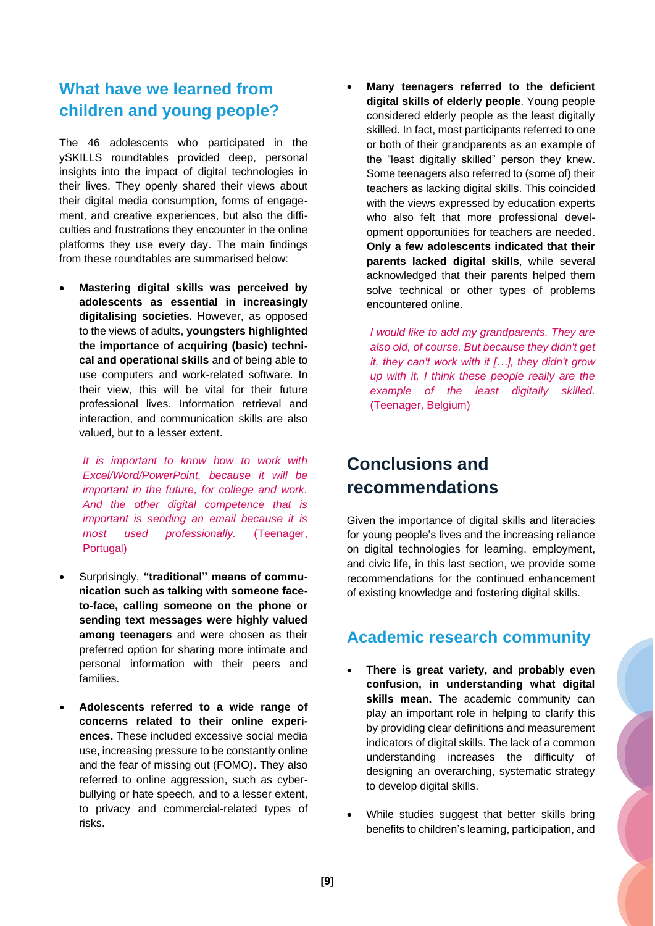#### **What have we learned from children and young people?**

The 46 adolescents who participated in the ySKILLS roundtables provided deep, personal insights into the impact of digital technologies in their lives. They openly shared their views about their digital media consumption, forms of engagement, and creative experiences, but also the difficulties and frustrations they encounter in the online platforms they use every day. The main findings from these roundtables are summarised below:

• **Mastering digital skills was perceived by adolescents as essential in increasingly digitalising societies.** However, as opposed to the views of adults, **youngsters highlighted the importance of acquiring (basic) technical and operational skills** and of being able to use computers and work-related software. In their view, this will be vital for their future professional lives. Information retrieval and interaction, and communication skills are also valued, but to a lesser extent.

*It is important to know how to work with Excel/Word/PowerPoint, because it will be important in the future, for college and work. And the other digital competence that is important is sending an email because it is most used professionally.* (Teenager, Portugal)

- Surprisingly, **"traditional" means of communication such as talking with someone faceto-face, calling someone on the phone or sending text messages were highly valued among teenagers** and were chosen as their preferred option for sharing more intimate and personal information with their peers and families.
- **Adolescents referred to a wide range of concerns related to their online experiences.** These included excessive social media use, increasing pressure to be constantly online and the fear of missing out (FOMO). They also referred to online aggression, such as cyberbullying or hate speech, and to a lesser extent, to privacy and commercial-related types of risks.

• **Many teenagers referred to the deficient digital skills of elderly people**. Young people considered elderly people as the least digitally skilled. In fact, most participants referred to one or both of their grandparents as an example of the "least digitally skilled" person they knew. Some teenagers also referred to (some of) their teachers as lacking digital skills. This coincided with the views expressed by education experts who also felt that more professional development opportunities for teachers are needed. **Only a few adolescents indicated that their parents lacked digital skills**, while several acknowledged that their parents helped them solve technical or other types of problems encountered online.

*I would like to add my grandparents. They are also old, of course. But because they didn't get it, they can't work with it […], they didn't grow up with it, I think these people really are the example of the least digitally skilled.* (Teenager, Belgium)

## <span id="page-9-0"></span>**Conclusions and recommendations**

Given the importance of digital skills and literacies for young people's lives and the increasing reliance on digital technologies for learning, employment, and civic life, in this last section, we provide some recommendations for the continued enhancement of existing knowledge and fostering digital skills.

#### **Academic research community**

- **There is great variety, and probably even confusion, in understanding what digital skills mean.** The academic community can play an important role in helping to clarify this by providing clear definitions and measurement indicators of digital skills. The lack of a common understanding increases the difficulty of designing an overarching, systematic strategy to develop digital skills.
- While studies suggest that better skills bring benefits to children's learning, participation, and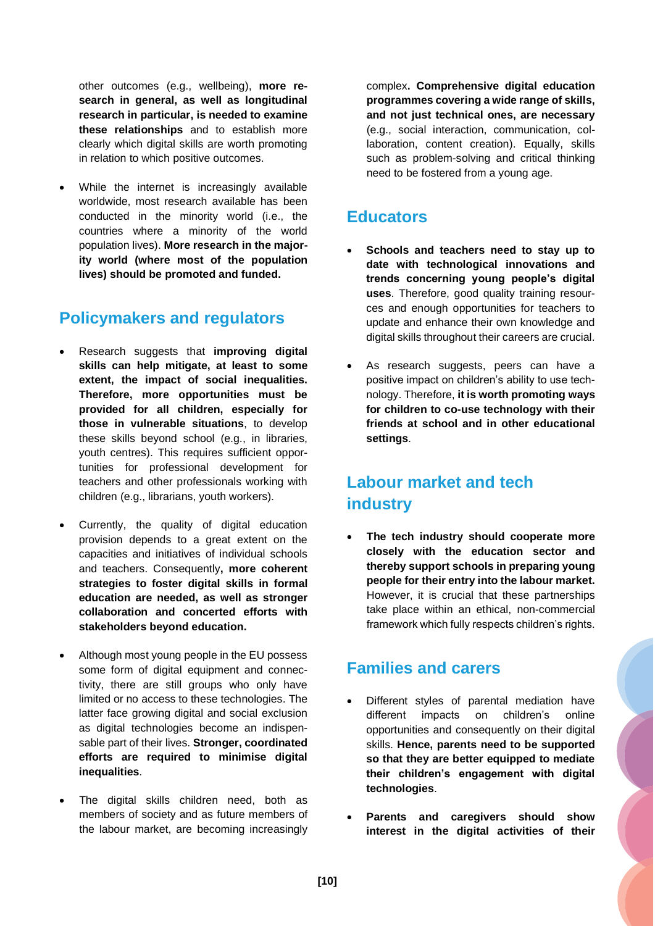other outcomes (e.g., wellbeing), **more research in general, as well as longitudinal research in particular, is needed to examine these relationships** and to establish more clearly which digital skills are worth promoting in relation to which positive outcomes.

• While the internet is increasingly available worldwide, most research available has been conducted in the minority world (i.e., the countries where a minority of the world population lives). **More research in the majority world (where most of the population lives) should be promoted and funded.**

#### **Policymakers and regulators**

- Research suggests that **improving digital skills can help mitigate, at least to some extent, the impact of social inequalities. Therefore, more opportunities must be provided for all children, especially for those in vulnerable situations**, to develop these skills beyond school (e.g., in libraries, youth centres). This requires sufficient opportunities for professional development for teachers and other professionals working with children (e.g., librarians, youth workers).
- Currently, the quality of digital education provision depends to a great extent on the capacities and initiatives of individual schools and teachers. Consequently**, more coherent strategies to foster digital skills in formal education are needed, as well as stronger collaboration and concerted efforts with stakeholders beyond education.**
- Although most young people in the EU possess some form of digital equipment and connectivity, there are still groups who only have limited or no access to these technologies. The latter face growing digital and social exclusion as digital technologies become an indispensable part of their lives. **Stronger, coordinated efforts are required to minimise digital inequalities**.
- The digital skills children need, both as members of society and as future members of the labour market, are becoming increasingly

complex**. Comprehensive digital education programmes covering a wide range of skills, and not just technical ones, are necessary** (e.g., social interaction, communication, collaboration, content creation). Equally, skills such as problem-solving and critical thinking need to be fostered from a young age.

#### **Educators**

- **Schools and teachers need to stay up to date with technological innovations and trends concerning young people's digital uses**. Therefore, good quality training resources and enough opportunities for teachers to update and enhance their own knowledge and digital skills throughout their careers are crucial.
- As research suggests, peers can have a positive impact on children's ability to use technology. Therefore, **it is worth promoting ways for children to co-use technology with their friends at school and in other educational settings**.

#### **Labour market and tech industry**

• **The tech industry should cooperate more closely with the education sector and thereby support schools in preparing young people for their entry into the labour market.** However, it is crucial that these partnerships take place within an ethical, non-commercial framework which fully respects children's rights.

#### **Families and carers**

- Different styles of parental mediation have different impacts on children's online opportunities and consequently on their digital skills. **Hence, parents need to be supported so that they are better equipped to mediate their children's engagement with digital technologies**.
- **Parents and caregivers should show interest in the digital activities of their**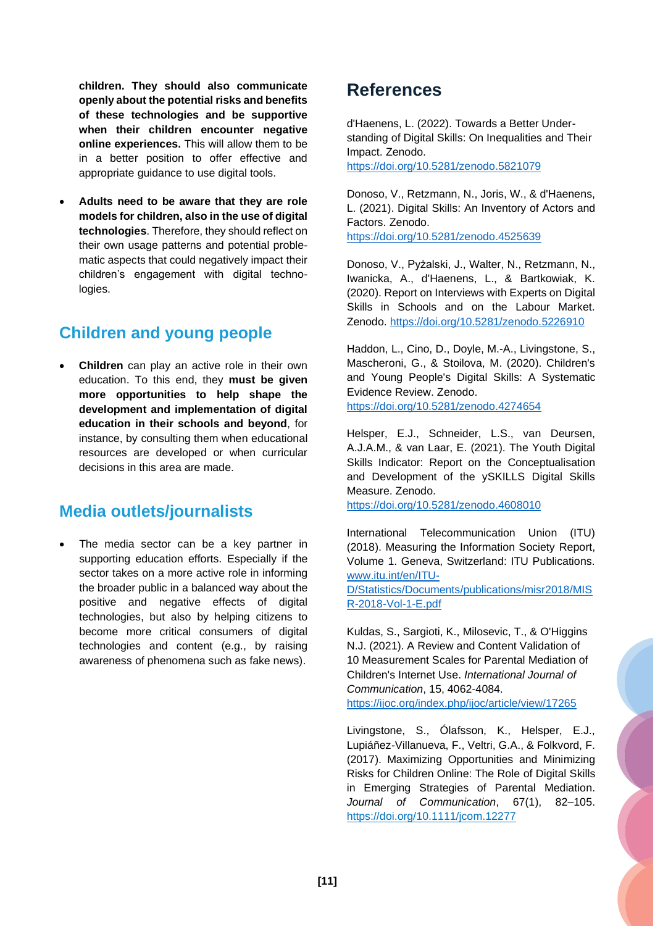**children. They should also communicate openly about the potential risks and benefits of these technologies and be supportive when their children encounter negative online experiences.** This will allow them to be in a better position to offer effective and appropriate guidance to use digital tools.

• **Adults need to be aware that they are role models for children, also in the use of digital technologies**. Therefore, they should reflect on their own usage patterns and potential problematic aspects that could negatively impact their children's engagement with digital technologies.

#### **Children and young people**

• **Children** can play an active role in their own education. To this end, they **must be given more opportunities to help shape the development and implementation of digital education in their schools and beyond**, for instance, by consulting them when educational resources are developed or when curricular decisions in this area are made.

#### **Media outlets/journalists**

The media sector can be a key partner in supporting education efforts. Especially if the sector takes on a more active role in informing the broader public in a balanced way about the positive and negative effects of digital technologies, but also by helping citizens to become more critical consumers of digital technologies and content (e.g., by raising awareness of phenomena such as fake news).

#### <span id="page-11-0"></span>**References**

d'Haenens, L. (2022). Towards a Better Understanding of Digital Skills: On Inequalities and Their Impact. Zenodo. <https://doi.org/10.5281/zenodo.5821079>

Donoso, V., Retzmann, N., Joris, W., & d'Haenens, L. (2021). Digital Skills: An Inventory of Actors and Factors. Zenodo.

<https://doi.org/10.5281/zenodo.4525639>

Donoso, V., Pyżalski, J., Walter, N., Retzmann, N., Iwanicka, A., d'Haenens, L., & Bartkowiak, K. (2020). Report on Interviews with Experts on Digital Skills in Schools and on the Labour Market. Zenodo.<https://doi.org/10.5281/zenodo.5226910>

Haddon, L., Cino, D., Doyle, M.-A., Livingstone, S., Mascheroni, G., & Stoilova, M. (2020). Children's and Young People's Digital Skills: A Systematic Evidence Review. Zenodo. <https://doi.org/10.5281/zenodo.4274654>

Helsper, E.J., Schneider, L.S., van Deursen, A.J.A.M., & van Laar, E. (2021). The Youth Digital Skills Indicator: Report on the Conceptualisation and Development of the ySKILLS Digital Skills Measure. Zenodo.

<https://doi.org/10.5281/zenodo.4608010>

International Telecommunication Union (ITU) (2018). Measuring the Information Society Report, Volume 1. Geneva, Switzerland: ITU Publications. [www.itu.int/en/ITU-](http://www.itu.int/en/ITU-D/Statistics/Documents/publications/misr2018/MISR-2018-Vol-1-E.pdf)

[D/Statistics/Documents/publications/misr2018/MIS](http://www.itu.int/en/ITU-D/Statistics/Documents/publications/misr2018/MISR-2018-Vol-1-E.pdf) [R-2018-Vol-1-E.pdf](http://www.itu.int/en/ITU-D/Statistics/Documents/publications/misr2018/MISR-2018-Vol-1-E.pdf)

Kuldas, S., Sargioti, K., Milosevic, T., & O'Higgins N.J. (2021). A Review and Content Validation of 10 Measurement Scales for Parental Mediation of Children's Internet Use. *International Journal of Communication*, 15, 4062-4084. <https://ijoc.org/index.php/ijoc/article/view/17265>

Livingstone, S., Ólafsson, K., Helsper, E.J., Lupiáñez-Villanueva, F., Veltri, G.A., & Folkvord, F. (2017). Maximizing Opportunities and Minimizing Risks for Children Online: The Role of Digital Skills in Emerging Strategies of Parental Mediation. *Journal of Communication*, 67(1), 82–105. <https://doi.org/10.1111/jcom.12277>